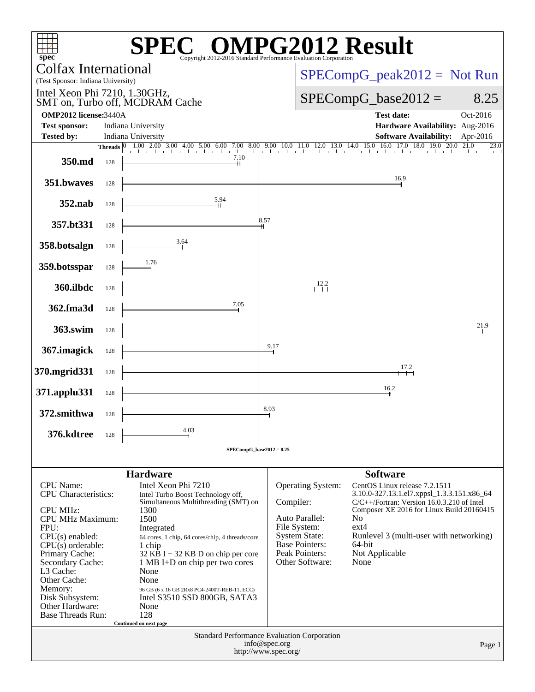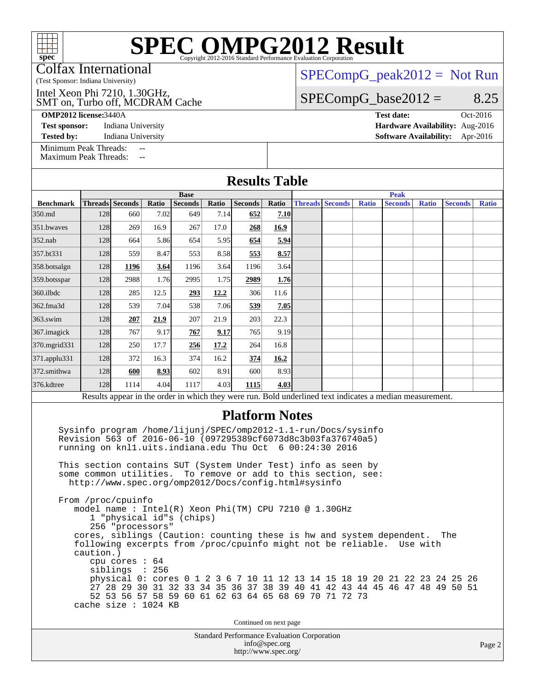| $spec^*$                                                                                                                                                                               |                                                         |                                                        |            |                               |       |                                                    |                         |  | <b>SPEC OMPG2012 Result</b>                                                                                                                                                                                                                                                                                                                                                                                                 |              |                               |              |                |              |
|----------------------------------------------------------------------------------------------------------------------------------------------------------------------------------------|---------------------------------------------------------|--------------------------------------------------------|------------|-------------------------------|-------|----------------------------------------------------|-------------------------|--|-----------------------------------------------------------------------------------------------------------------------------------------------------------------------------------------------------------------------------------------------------------------------------------------------------------------------------------------------------------------------------------------------------------------------------|--------------|-------------------------------|--------------|----------------|--------------|
| <b>Colfax International</b><br>$SPECompG_peak2012 = Not Run$<br>(Test Sponsor: Indiana University)                                                                                     |                                                         |                                                        |            |                               |       |                                                    |                         |  |                                                                                                                                                                                                                                                                                                                                                                                                                             |              |                               |              |                |              |
| Intel Xeon Phi 7210, 1.30GHz,                                                                                                                                                          |                                                         |                                                        |            |                               |       |                                                    | 8.25                    |  |                                                                                                                                                                                                                                                                                                                                                                                                                             |              |                               |              |                |              |
| $SPECompG_base2012 =$<br>SMT on, Turbo off, MCDRAM Cache<br><b>OMP2012</b> license: 3440A<br><b>Test date:</b><br>Oct-2016                                                             |                                                         |                                                        |            |                               |       |                                                    |                         |  |                                                                                                                                                                                                                                                                                                                                                                                                                             |              |                               |              |                |              |
| Indiana University<br>Hardware Availability: Aug-2016<br><b>Test sponsor:</b>                                                                                                          |                                                         |                                                        |            |                               |       |                                                    |                         |  |                                                                                                                                                                                                                                                                                                                                                                                                                             |              |                               |              |                |              |
| Indiana University<br><b>Software Availability:</b><br><b>Tested by:</b><br>Apr-2016<br>Minimum Peak Threads:                                                                          |                                                         |                                                        |            |                               |       |                                                    |                         |  |                                                                                                                                                                                                                                                                                                                                                                                                                             |              |                               |              |                |              |
| <b>Maximum Peak Threads:</b>                                                                                                                                                           |                                                         |                                                        | $-$<br>$-$ |                               |       |                                                    |                         |  |                                                                                                                                                                                                                                                                                                                                                                                                                             |              |                               |              |                |              |
| <b>Results Table</b>                                                                                                                                                                   |                                                         |                                                        |            |                               |       |                                                    |                         |  |                                                                                                                                                                                                                                                                                                                                                                                                                             |              |                               |              |                |              |
| <b>Benchmark</b>                                                                                                                                                                       |                                                         | Threads Seconds                                        | Ratio      | <b>Base</b><br><b>Seconds</b> | Ratio | <b>Seconds</b>                                     | Ratio                   |  | <b>Threads Seconds</b>                                                                                                                                                                                                                                                                                                                                                                                                      | <b>Ratio</b> | <b>Peak</b><br><b>Seconds</b> | <b>Ratio</b> | <b>Seconds</b> | <b>Ratio</b> |
| 350.md                                                                                                                                                                                 | 128                                                     | 660                                                    | 7.02       | 649                           | 7.14  | 652                                                | 7.10                    |  |                                                                                                                                                                                                                                                                                                                                                                                                                             |              |                               |              |                |              |
| 351.bwayes                                                                                                                                                                             | 128                                                     | 269                                                    | 16.9       | 267                           | 17.0  | 268                                                | 16.9                    |  |                                                                                                                                                                                                                                                                                                                                                                                                                             |              |                               |              |                |              |
| 352.nab                                                                                                                                                                                | 128                                                     | 664                                                    | 5.86       | 654                           | 5.95  | 654                                                | 5.94                    |  |                                                                                                                                                                                                                                                                                                                                                                                                                             |              |                               |              |                |              |
| 357.bt331                                                                                                                                                                              | 128                                                     | 559                                                    | 8.47       | 553                           | 8.58  | 553                                                | 8.57                    |  |                                                                                                                                                                                                                                                                                                                                                                                                                             |              |                               |              |                |              |
| 358.botsalgn                                                                                                                                                                           | 128                                                     | 1196                                                   | 3.64       | 1196                          | 3.64  | 1196                                               | 3.64                    |  |                                                                                                                                                                                                                                                                                                                                                                                                                             |              |                               |              |                |              |
| 359.botsspar                                                                                                                                                                           | 128                                                     | 2988                                                   | 1.76       | 2995                          | 1.75  | 2989                                               | 1.76                    |  |                                                                                                                                                                                                                                                                                                                                                                                                                             |              |                               |              |                |              |
| 360.ilbdc                                                                                                                                                                              | 128                                                     | 285                                                    | 12.5       | 293                           | 12.2  | 306                                                | 11.6                    |  |                                                                                                                                                                                                                                                                                                                                                                                                                             |              |                               |              |                |              |
| 362.fma3d                                                                                                                                                                              | 128                                                     | 539                                                    | 7.04       | 538                           | 7.06  | 539                                                | 7.05                    |  |                                                                                                                                                                                                                                                                                                                                                                                                                             |              |                               |              |                |              |
| 363.swim                                                                                                                                                                               | 128                                                     | 207                                                    | 21.9       | 207                           | 21.9  | 203                                                | 22.3                    |  |                                                                                                                                                                                                                                                                                                                                                                                                                             |              |                               |              |                |              |
| 367.imagick                                                                                                                                                                            | 128                                                     | 767                                                    | 9.17       | 767                           | 9.17  | 765                                                | 9.19                    |  |                                                                                                                                                                                                                                                                                                                                                                                                                             |              |                               |              |                |              |
| 370.mgrid331                                                                                                                                                                           | 128                                                     | 250                                                    | 17.7       | 256                           | 17.2  | 264                                                | 16.8                    |  |                                                                                                                                                                                                                                                                                                                                                                                                                             |              |                               |              |                |              |
| 371.applu331                                                                                                                                                                           | 128                                                     | 372                                                    | 16.3       | 374                           | 16.2  | 374                                                | 16.2                    |  |                                                                                                                                                                                                                                                                                                                                                                                                                             |              |                               |              |                |              |
| 372.smithwa                                                                                                                                                                            | 128                                                     | 600                                                    | 8.93       | 602                           | 8.91  | 600                                                | 8.93                    |  |                                                                                                                                                                                                                                                                                                                                                                                                                             |              |                               |              |                |              |
| 376.kdtree                                                                                                                                                                             | 128                                                     | 1114                                                   | 4.04       | 1117                          | 4.03  | 1115                                               | 4.03                    |  |                                                                                                                                                                                                                                                                                                                                                                                                                             |              |                               |              |                |              |
| Results appear in the order in which they were run. Bold underlined text indicates a median measurement.                                                                               |                                                         |                                                        |            |                               |       |                                                    |                         |  |                                                                                                                                                                                                                                                                                                                                                                                                                             |              |                               |              |                |              |
|                                                                                                                                                                                        |                                                         |                                                        |            |                               |       | <b>Platform Notes</b>                              |                         |  | Sysinfo program /home/lijunj/SPEC/omp2012-1.1-run/Docs/sysinfo<br>Revision 563 of 2016-06-10 (097295389cf6073d8c3b03fa376740a5)<br>running on knll.uits.indiana.edu Thu Oct 6 00:24:30 2016                                                                                                                                                                                                                                 |              |                               |              |                |              |
| This section contains SUT (System Under Test) info as seen by<br>some common utilities. To remove or add to this section, see:<br>http://www.spec.org/omp2012/Docs/config.html#sysinfo |                                                         |                                                        |            |                               |       |                                                    |                         |  |                                                                                                                                                                                                                                                                                                                                                                                                                             |              |                               |              |                |              |
|                                                                                                                                                                                        | From /proc/cpuinfo<br>caution.)<br>cache size : 1024 KB | 256 "processors"<br>cpu cores $: 64$<br>siblings : 256 |            | 1 "physical id"s (chips)      |       | Continued on next page                             |                         |  | model name : Intel(R) Xeon Phi(TM) CPU 7210 @ 1.30GHz<br>cores, siblings (Caution: counting these is hw and system dependent.<br>following excerpts from /proc/cpuinfo might not be reliable. Use with<br>physical 0: cores 0 1 2 3 6 7 10 11 12 13 14 15 18 19 20 21 22 23 24 25 26<br>27 28 29 30 31 32 33 34 35 36 37 38 39 40 41 42 43 44 45 46 47 48 49 50 51<br>52 53 56 57 58 59 60 61 62 63 64 65 68 69 70 71 72 73 |              |                               |              | The            |              |
|                                                                                                                                                                                        |                                                         |                                                        |            |                               |       | <b>Standard Performance Evaluation Corporation</b> |                         |  |                                                                                                                                                                                                                                                                                                                                                                                                                             |              |                               |              |                |              |
|                                                                                                                                                                                        |                                                         |                                                        |            |                               |       |                                                    | $inf_{\Omega}$ gnes org |  |                                                                                                                                                                                                                                                                                                                                                                                                                             |              |                               |              |                |              |

[info@spec.org](mailto:info@spec.org) <http://www.spec.org/>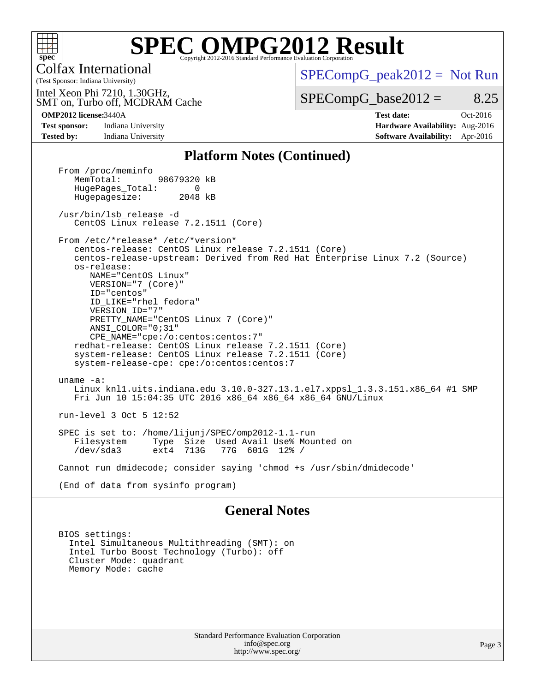

# **[SPEC OMPG2012 Result](http://www.spec.org/auto/omp2012/Docs/result-fields.html#SPECOMPG2012Result)**

Colfax International

 $SPECompG_peak2012 = Not Run$  $SPECompG_peak2012 = Not Run$ 

SMT on, Turbo off, MCDRAM Cache Intel Xeon Phi 7210, 1.30GHz,

 $SPECompG_base2012 = 8.25$  $SPECompG_base2012 = 8.25$ 

(Test Sponsor: Indiana University)

**[Test sponsor:](http://www.spec.org/auto/omp2012/Docs/result-fields.html#Testsponsor)** Indiana University **[Hardware Availability:](http://www.spec.org/auto/omp2012/Docs/result-fields.html#HardwareAvailability)** Aug-2016 **[Tested by:](http://www.spec.org/auto/omp2012/Docs/result-fields.html#Testedby)** Indiana University **[Software Availability:](http://www.spec.org/auto/omp2012/Docs/result-fields.html#SoftwareAvailability)** Apr-2016

**[OMP2012 license:](http://www.spec.org/auto/omp2012/Docs/result-fields.html#OMP2012license)**3440A **[Test date:](http://www.spec.org/auto/omp2012/Docs/result-fields.html#Testdate)** Oct-2016

### **[Platform Notes \(Continued\)](http://www.spec.org/auto/omp2012/Docs/result-fields.html#PlatformNotes)**

From /proc/meminfo<br>MemTotal: 98679320 kB HugePages\_Total: 0<br>Hugepagesize: 2048 kB Hugepagesize: /usr/bin/lsb\_release -d CentOS Linux release 7.2.1511 (Core) From /etc/\*release\* /etc/\*version\* centos-release: CentOS Linux release 7.2.1511 (Core) centos-release-upstream: Derived from Red Hat Enterprise Linux 7.2 (Source) os-release: NAME="CentOS Linux" VERSION="7 (Core)" ID="centos" ID\_LIKE="rhel fedora" VERSION\_ID="7" PRETTY\_NAME="CentOS Linux 7 (Core)" ANSI\_COLOR="0;31" CPE\_NAME="cpe:/o:centos:centos:7" redhat-release: CentOS Linux release 7.2.1511 (Core) system-release: CentOS Linux release 7.2.1511 (Core) system-release-cpe: cpe:/o:centos:centos:7 uname -a: Linux knl1.uits.indiana.edu 3.10.0-327.13.1.el7.xppsl\_1.3.3.151.x86\_64 #1 SMP Fri Jun 10 15:04:35 UTC 2016 x86\_64 x86\_64 x86\_64 GNU/Linux run-level 3 Oct 5 12:52 SPEC is set to: /home/lijunj/SPEC/omp2012-1.1-run Type Size Used Avail Use% Mounted on<br>ext4 713G 77G 601G 12% / /dev/sda3 ext4 713G 77G 601G 12% / Cannot run dmidecode; consider saying 'chmod +s /usr/sbin/dmidecode' (End of data from sysinfo program)

### **[General Notes](http://www.spec.org/auto/omp2012/Docs/result-fields.html#GeneralNotes)**

 BIOS settings: Intel Simultaneous Multithreading (SMT): on Intel Turbo Boost Technology (Turbo): off Cluster Mode: quadrant Memory Mode: cache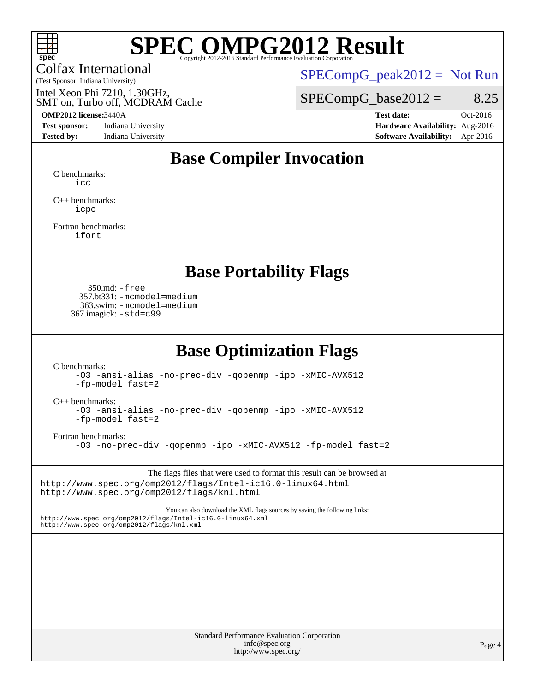

# **[SPEC OMPG2012 Result](http://www.spec.org/auto/omp2012/Docs/result-fields.html#SPECOMPG2012Result)**

Colfax International

(Test Sponsor: Indiana University)

 $SPECompG_peak2012 = Not Run$  $SPECompG_peak2012 = Not Run$ 

SMT on, Turbo off, MCDRAM Cache Intel Xeon Phi 7210, 1.30GHz,

#### **[OMP2012 license:](http://www.spec.org/auto/omp2012/Docs/result-fields.html#OMP2012license)**3440A **[Test date:](http://www.spec.org/auto/omp2012/Docs/result-fields.html#Testdate)** Oct-2016

**[Test sponsor:](http://www.spec.org/auto/omp2012/Docs/result-fields.html#Testsponsor)** Indiana University **[Hardware Availability:](http://www.spec.org/auto/omp2012/Docs/result-fields.html#HardwareAvailability)** Aug-2016

 $SPECompG_base2012 = 8.25$  $SPECompG_base2012 = 8.25$ 

**[Tested by:](http://www.spec.org/auto/omp2012/Docs/result-fields.html#Testedby)** Indiana University **[Software Availability:](http://www.spec.org/auto/omp2012/Docs/result-fields.html#SoftwareAvailability)** Apr-2016

## **[Base Compiler Invocation](http://www.spec.org/auto/omp2012/Docs/result-fields.html#BaseCompilerInvocation)**

[C benchmarks](http://www.spec.org/auto/omp2012/Docs/result-fields.html#Cbenchmarks): [icc](http://www.spec.org/omp2012/results/res2016q4/omp2012-20161014-00084.flags.html#user_CCbase_intel_icc_a87c68a857bc5ec5362391a49d3a37a6)

[C++ benchmarks:](http://www.spec.org/auto/omp2012/Docs/result-fields.html#CXXbenchmarks) [icpc](http://www.spec.org/omp2012/results/res2016q4/omp2012-20161014-00084.flags.html#user_CXXbase_intel_icpc_2d899f8d163502b12eb4a60069f80c1c)

[Fortran benchmarks](http://www.spec.org/auto/omp2012/Docs/result-fields.html#Fortranbenchmarks): [ifort](http://www.spec.org/omp2012/results/res2016q4/omp2012-20161014-00084.flags.html#user_FCbase_intel_ifort_8a5e5e06b19a251bdeaf8fdab5d62f20)

### **[Base Portability Flags](http://www.spec.org/auto/omp2012/Docs/result-fields.html#BasePortabilityFlags)**

 350.md: [-free](http://www.spec.org/omp2012/results/res2016q4/omp2012-20161014-00084.flags.html#user_baseFPORTABILITY350_md_f-FR_e51be0673775d2012b3310fa5323f530) 357.bt331: [-mcmodel=medium](http://www.spec.org/omp2012/results/res2016q4/omp2012-20161014-00084.flags.html#user_baseFPORTABILITY357_bt331_f-mcmodel_3a41622424bdd074c4f0f2d2f224c7e5) 363.swim: [-mcmodel=medium](http://www.spec.org/omp2012/results/res2016q4/omp2012-20161014-00084.flags.html#user_baseFPORTABILITY363_swim_f-mcmodel_3a41622424bdd074c4f0f2d2f224c7e5) 367.imagick: [-std=c99](http://www.spec.org/omp2012/results/res2016q4/omp2012-20161014-00084.flags.html#user_baseCPORTABILITY367_imagick_f-std_2ec6533b6e06f1c4a6c9b78d9e9cde24)

## **[Base Optimization Flags](http://www.spec.org/auto/omp2012/Docs/result-fields.html#BaseOptimizationFlags)**

[C benchmarks](http://www.spec.org/auto/omp2012/Docs/result-fields.html#Cbenchmarks):

[-O3](http://www.spec.org/omp2012/results/res2016q4/omp2012-20161014-00084.flags.html#user_CCbase_f-O3) [-ansi-alias](http://www.spec.org/omp2012/results/res2016q4/omp2012-20161014-00084.flags.html#user_CCbase_f-ansi-alias) [-no-prec-div](http://www.spec.org/omp2012/results/res2016q4/omp2012-20161014-00084.flags.html#user_CCbase_f-no-prec-div) [-qopenmp](http://www.spec.org/omp2012/results/res2016q4/omp2012-20161014-00084.flags.html#user_CCbase_f-qopenmp) [-ipo](http://www.spec.org/omp2012/results/res2016q4/omp2012-20161014-00084.flags.html#user_CCbase_f-ipo) [-xMIC-AVX512](http://www.spec.org/omp2012/results/res2016q4/omp2012-20161014-00084.flags.html#user_CCbase_f-xMIC-AVX512) [-fp-model fast=2](http://www.spec.org/omp2012/results/res2016q4/omp2012-20161014-00084.flags.html#user_CCbase_f-fp-model_a7fb8ccb7275e23f0079632c153cfcab)

[C++ benchmarks:](http://www.spec.org/auto/omp2012/Docs/result-fields.html#CXXbenchmarks)

[-O3](http://www.spec.org/omp2012/results/res2016q4/omp2012-20161014-00084.flags.html#user_CXXbase_f-O3) [-ansi-alias](http://www.spec.org/omp2012/results/res2016q4/omp2012-20161014-00084.flags.html#user_CXXbase_f-ansi-alias) [-no-prec-div](http://www.spec.org/omp2012/results/res2016q4/omp2012-20161014-00084.flags.html#user_CXXbase_f-no-prec-div) [-qopenmp](http://www.spec.org/omp2012/results/res2016q4/omp2012-20161014-00084.flags.html#user_CXXbase_f-qopenmp) [-ipo](http://www.spec.org/omp2012/results/res2016q4/omp2012-20161014-00084.flags.html#user_CXXbase_f-ipo) [-xMIC-AVX512](http://www.spec.org/omp2012/results/res2016q4/omp2012-20161014-00084.flags.html#user_CXXbase_f-xMIC-AVX512) [-fp-model fast=2](http://www.spec.org/omp2012/results/res2016q4/omp2012-20161014-00084.flags.html#user_CXXbase_f-fp-model_a7fb8ccb7275e23f0079632c153cfcab)

[Fortran benchmarks](http://www.spec.org/auto/omp2012/Docs/result-fields.html#Fortranbenchmarks):

[-O3](http://www.spec.org/omp2012/results/res2016q4/omp2012-20161014-00084.flags.html#user_FCbase_f-O3) [-no-prec-div](http://www.spec.org/omp2012/results/res2016q4/omp2012-20161014-00084.flags.html#user_FCbase_f-no-prec-div) [-qopenmp](http://www.spec.org/omp2012/results/res2016q4/omp2012-20161014-00084.flags.html#user_FCbase_f-qopenmp) [-ipo](http://www.spec.org/omp2012/results/res2016q4/omp2012-20161014-00084.flags.html#user_FCbase_f-ipo) [-xMIC-AVX512](http://www.spec.org/omp2012/results/res2016q4/omp2012-20161014-00084.flags.html#user_FCbase_f-xMIC-AVX512) [-fp-model fast=2](http://www.spec.org/omp2012/results/res2016q4/omp2012-20161014-00084.flags.html#user_FCbase_f-fp-model_a7fb8ccb7275e23f0079632c153cfcab)

The flags files that were used to format this result can be browsed at <http://www.spec.org/omp2012/flags/Intel-ic16.0-linux64.html> <http://www.spec.org/omp2012/flags/knl.html>

You can also download the XML flags sources by saving the following links: <http://www.spec.org/omp2012/flags/Intel-ic16.0-linux64.xml> <http://www.spec.org/omp2012/flags/knl.xml>

> Standard Performance Evaluation Corporation [info@spec.org](mailto:info@spec.org) <http://www.spec.org/>